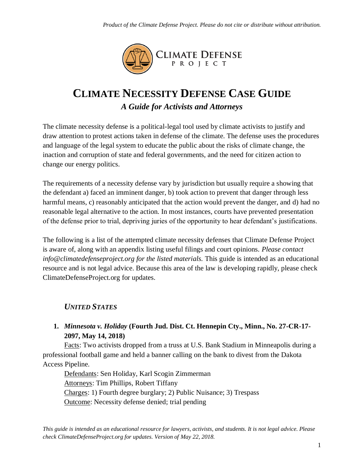

# **CLIMATE NECESSITY DEFENSE CASE GUIDE** *A Guide for Activists and Attorneys*

The climate necessity defense is a political-legal tool used by climate activists to justify and draw attention to protest actions taken in defense of the climate. The defense uses the procedures and language of the legal system to educate the public about the risks of climate change, the inaction and corruption of state and federal governments, and the need for citizen action to change our energy politics.

The requirements of a necessity defense vary by jurisdiction but usually require a showing that the defendant a) faced an imminent danger, b) took action to prevent that danger through less harmful means, c) reasonably anticipated that the action would prevent the danger, and d) had no reasonable legal alternative to the action. In most instances, courts have prevented presentation of the defense prior to trial, depriving juries of the opportunity to hear defendant's justifications.

The following is a list of the attempted climate necessity defenses that Climate Defense Project is aware of, along with an appendix listing useful filings and court opinions. *Please contact info@climatedefenseproject.org for the listed materials.* This guide is intended as an educational resource and is not legal advice. Because this area of the law is developing rapidly, please check ClimateDefenseProject.org for updates.

# *UNITED STATES*

### **1.** *Minnesota v. Holiday* **(Fourth Jud. Dist. Ct. Hennepin Cty., Minn., No. 27-CR-17- 2097, May 14, 2018)**

Facts: Two activists dropped from a truss at U.S. Bank Stadium in Minneapolis during a professional football game and held a banner calling on the bank to divest from the Dakota Access Pipeline.

Defendants: Sen Holiday, Karl Scogin Zimmerman Attorneys: Tim Phillips, Robert Tiffany Charges: 1) Fourth degree burglary; 2) Public Nuisance; 3) Trespass Outcome: Necessity defense denied; trial pending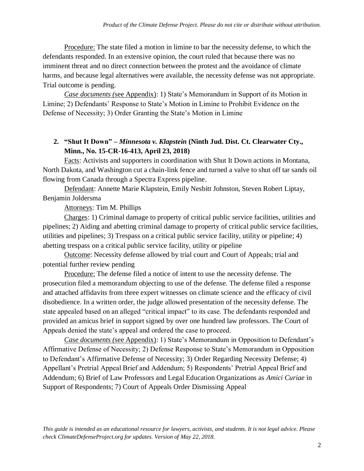Procedure: The state filed a motion in limine to bar the necessity defense, to which the defendants responded. In an extensive opinion, the court ruled that because there was no imminent threat and no direct connection between the protest and the avoidance of climate harms, and because legal alternatives were available, the necessity defense was not appropriate. Trial outcome is pending.

*Case documents (*see Appendix): 1) State's Memorandum in Support of its Motion in Limine; 2) Defendants' Response to State's Motion in Limine to Prohibit Evidence on the Defense of Necessity; 3) Order Granting the State's Motion in Limine

### **2. "Shut It Down" –** *Minnesota v. Klapstein* **(Ninth Jud. Dist. Ct. Clearwater Cty., Minn., No. 15-CR-16-413, April 23, 2018)**

Facts: Activists and supporters in coordination with Shut It Down actions in Montana, North Dakota, and Washington cut a chain-link fence and turned a valve to shut off tar sands oil flowing from Canada through a Spectra Express pipeline.

Defendant: Annette Marie Klapstein, Emily Nesbitt Johnston, Steven Robert Liptay, Benjamin Joldersma

Attorneys: Tim M. Phillips

Charges: 1) Criminal damage to property of critical public service facilities, utilities and pipelines; 2) Aiding and abetting criminal damage to property of critical public service facilities, utilities and pipelines; 3) Trespass on a critical public service facility, utility or pipeline; 4) abetting trespass on a critical public service facility, utility or pipeline

Outcome: Necessity defense allowed by trial court and Court of Appeals; trial and potential further review pending

Procedure: The defense filed a notice of intent to use the necessity defense. The prosecution filed a memorandum objecting to use of the defense. The defense filed a response and attached affidavits from three expert witnesses on climate science and the efficacy of civil disobedience. In a written order, the judge allowed presentation of the necessity defense. The state appealed based on an alleged "critical impact" to its case. The defendants responded and provided an amicus brief in support signed by over one hundred law professors. The Court of Appeals denied the state's appeal and ordered the case to proceed.

*Case documents (*see Appendix): 1) State's Memorandum in Opposition to Defendant's Affirmative Defense of Necessity; 2) Defense Response to State's Memorandum in Opposition to Defendant's Affirmative Defense of Necessity; 3) Order Regarding Necessity Defense; 4) Appellant's Pretrial Appeal Brief and Addendum; 5) Respondents' Pretrial Appeal Brief and Addendum; 6) Brief of Law Professors and Legal Education Organizations as *Amici Curiae* in Support of Respondents; 7) Court of Appeals Order Dismissing Appeal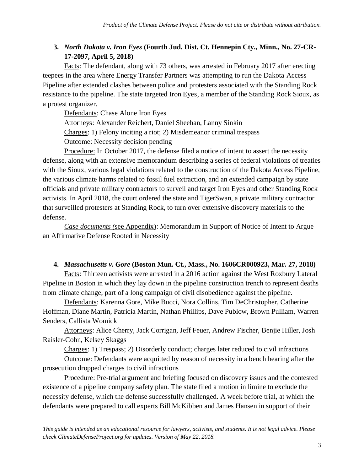# **3.** *North Dakota v. Iron Eyes* **(Fourth Jud. Dist. Ct. Hennepin Cty., Minn., No. 27-CR-17-2097, April 5, 2018)**

Facts: The defendant, along with 73 others, was arrested in February 2017 after erecting teepees in the area where Energy Transfer Partners was attempting to run the Dakota Access Pipeline after extended clashes between police and protesters associated with the Standing Rock resistance to the pipeline. The state targeted Iron Eyes, a member of the Standing Rock Sioux, as a protest organizer.

Defendants: Chase Alone Iron Eyes

Attorneys: Alexander Reichert, Daniel Sheehan, Lanny Sinkin

Charges: 1) Felony inciting a riot; 2) Misdemeanor criminal trespass

Outcome: Necessity decision pending

Procedure: In October 2017, the defense filed a notice of intent to assert the necessity defense, along with an extensive memorandum describing a series of federal violations of treaties with the Sioux, various legal violations related to the construction of the Dakota Access Pipeline, the various climate harms related to fossil fuel extraction, and an extended campaign by state officials and private military contractors to surveil and target Iron Eyes and other Standing Rock activists. In April 2018, the court ordered the state and TigerSwan, a private military contractor that surveilled protesters at Standing Rock, to turn over extensive discovery materials to the defense.

*Case documents (*see Appendix): Memorandum in Support of Notice of Intent to Argue an Affirmative Defense Rooted in Necessity

#### **4.** *Massachusetts v. Gore* **(Boston Mun. Ct., Mass., No. 1606CR000923, Mar. 27, 2018)**

Facts: Thirteen activists were arrested in a 2016 action against the West Roxbury Lateral Pipeline in Boston in which they lay down in the pipeline construction trench to represent deaths from climate change, part of a long campaign of civil disobedience against the pipeline.

Defendants: Karenna Gore, Mike Bucci, Nora Collins, Tim DeChristopher, Catherine Hoffman, Diane Martin, Patricia Martin, Nathan Phillips, Dave Publow, Brown Pulliam, Warren Senders, Callista Womick

Attorneys: Alice Cherry, Jack Corrigan, Jeff Feuer, Andrew Fischer, Benjie Hiller, Josh Raisler-Cohn, Kelsey Skaggs

Charges: 1) Trespass; 2) Disorderly conduct; charges later reduced to civil infractions

Outcome: Defendants were acquitted by reason of necessity in a bench hearing after the prosecution dropped charges to civil infractions

Procedure: Pre-trial argument and briefing focused on discovery issues and the contested existence of a pipeline company safety plan. The state filed a motion in limine to exclude the necessity defense, which the defense successfully challenged. A week before trial, at which the defendants were prepared to call experts Bill McKibben and James Hansen in support of their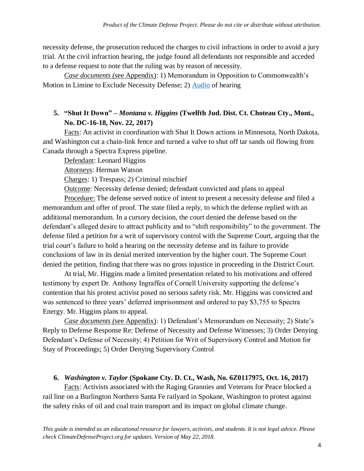necessity defense, the prosecution reduced the charges to civil infractions in order to avoid a jury trial. At the civil infraction hearing, the judge found all defendants not responsible and acceded to a defense request to note that the ruling was by reason of necessity.

*Case documents (*see Appendix): 1) Memorandum in Opposition to Commonwealth's Motion in Limine to Exclude Necessity Defense; 2) [Audio](http://www.climatedisobedience.org/west_roxbury) of hearing

#### **5. "Shut It Down" –** *Montana v. Higgins* **(Twelfth Jud. Dist. Ct. Choteau Cty., Mont., No. DC-16-18, Nov. 22, 2017)**

Facts: An activist in coordination with Shut It Down actions in Minnesota, North Dakota, and Washington cut a chain-link fence and turned a valve to shut off tar sands oil flowing from Canada through a Spectra Express pipeline.

Defendant: Leonard Higgins

Attorneys: Herman Watson

Charges: 1) Trespass; 2) Criminal mischief

Outcome: Necessity defense denied; defendant convicted and plans to appeal

Procedure: The defense served notice of intent to present a necessity defense and filed a memorandum and offer of proof. The state filed a reply, to which the defense replied with an additional memorandum. In a cursory decision, the court denied the defense based on the defendant's alleged desire to attract publicity and to "shift responsibility" to the government. The defense filed a petition for a writ of supervisory control with the Supreme Court, arguing that the trial court's failure to hold a hearing on the necessity defense and its failure to provide conclusions of law in its denial merited intervention by the higher court. The Supreme Court denied the petition, finding that there was no gross injustice in proceeding in the District Court.

At trial, Mr. Higgins made a limited presentation related to his motivations and offered testimony by expert Dr. Anthony Ingraffea of Cornell University supporting the defense's contention that his protest activist posed no serious safety risk. Mr. Higgins was convicted and was sentenced to three years' deferred imprisonment and ordered to pay \$3,755 to Spectra Energy. Mr. Higgins plans to appeal.

*Case documents (*see Appendix): 1) Defendant's Memorandum on Necessity; 2) State's Reply to Defense Response Re: Defense of Necessity and Defense Witnesses; 3) Order Denying Defendant's Defense of Necessity; 4) Petition for Writ of Supervisory Control and Motion for Stay of Proceedings; 5) Order Denying Supervisory Control

#### **6.** *Washington v. Taylor* **(Spokane Cty. D. Ct., Wash, No. 6Z0117975, Oct. 16, 2017)**

Facts: Activists associated with the Raging Grannies and Veterans for Peace blocked a rail line on a Burlington Northern Santa Fe railyard in Spokane, Washington to protest against the safety risks of oil and coal train transport and its impact on global climate change.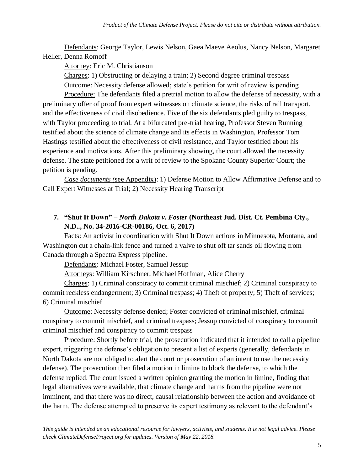Defendants: George Taylor, Lewis Nelson, Gaea Maeve Aeolus, Nancy Nelson, Margaret Heller, Denna Romoff

Attorney: Eric M. Christianson

Charges: 1) Obstructing or delaying a train; 2) Second degree criminal trespass

Outcome: Necessity defense allowed; state's petition for writ of review is pending

Procedure: The defendants filed a pretrial motion to allow the defense of necessity, with a preliminary offer of proof from expert witnesses on climate science, the risks of rail transport, and the effectiveness of civil disobedience. Five of the six defendants pled guilty to trespass, with Taylor proceeding to trial. At a bifurcated pre-trial hearing, Professor Steven Running testified about the science of climate change and its effects in Washington, Professor Tom Hastings testified about the effectiveness of civil resistance, and Taylor testified about his experience and motivations. After this preliminary showing, the court allowed the necessity defense. The state petitioned for a writ of review to the Spokane County Superior Court; the petition is pending.

*Case documents (*see Appendix): 1) Defense Motion to Allow Affirmative Defense and to Call Expert Witnesses at Trial; 2) Necessity Hearing Transcript

### **7. "Shut It Down" –** *North Dakota v. Foster* **(Northeast Jud. Dist. Ct. Pembina Cty., N.D.., No. 34-2016-CR-00186, Oct. 6, 2017)**

Facts: An activist in coordination with Shut It Down actions in Minnesota, Montana, and Washington cut a chain-link fence and turned a valve to shut off tar sands oil flowing from Canada through a Spectra Express pipeline.

Defendants: Michael Foster, Samuel Jessup

Attorneys: William Kirschner, Michael Hoffman, Alice Cherry

Charges: 1) Criminal conspiracy to commit criminal mischief; 2) Criminal conspiracy to commit reckless endangerment; 3) Criminal trespass; 4) Theft of property; 5) Theft of services; 6) Criminal mischief

Outcome: Necessity defense denied; Foster convicted of criminal mischief, criminal conspiracy to commit mischief, and criminal trespass; Jessup convicted of conspiracy to commit criminal mischief and conspiracy to commit trespass

Procedure: Shortly before trial, the prosecution indicated that it intended to call a pipeline expert, triggering the defense's obligation to present a list of experts (generally, defendants in North Dakota are not obliged to alert the court or prosecution of an intent to use the necessity defense). The prosecution then filed a motion in limine to block the defense, to which the defense replied. The court issued a written opinion granting the motion in limine, finding that legal alternatives were available, that climate change and harms from the pipeline were not imminent, and that there was no direct, causal relationship between the action and avoidance of the harm. The defense attempted to preserve its expert testimony as relevant to the defendant's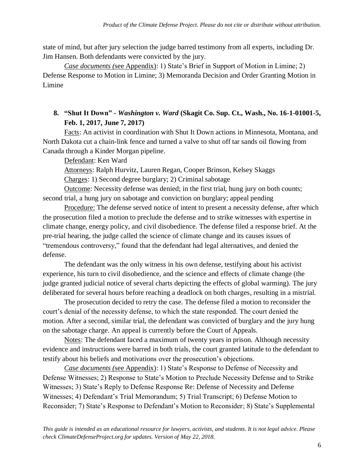state of mind, but after jury selection the judge barred testimony from all experts, including Dr. Jim Hansen. Both defendants were convicted by the jury.

*Case documents (*see Appendix): 1) State's Brief in Support of Motion in Limine; 2) Defense Response to Motion in Limine; 3) Memoranda Decision and Order Granting Motion in Limine

### **8. "Shut It Down" -** *Washington v. Ward* **(Skagit Co. Sup. Ct., Wash., No. 16-1-01001-5, Feb. 1, 2017, June 7, 2017)**

Facts: An activist in coordination with Shut It Down actions in Minnesota, Montana, and North Dakota cut a chain-link fence and turned a valve to shut off tar sands oil flowing from Canada through a Kinder Morgan pipeline.

Defendant: Ken Ward

Attorneys: Ralph Hurvitz, Lauren Regan, Cooper Brinson, Kelsey Skaggs

Charges: 1) Second degree burglary; 2) Criminal sabotage

Outcome: Necessity defense was denied; in the first trial, hung jury on both counts; second trial, a hung jury on sabotage and conviction on burglary; appeal pending

Procedure: The defense served notice of intent to present a necessity defense, after which the prosecution filed a motion to preclude the defense and to strike witnesses with expertise in climate change, energy policy, and civil disobedience. The defense filed a response brief. At the pre-trial hearing, the judge called the science of climate change and its causes issues of "tremendous controversy," found that the defendant had legal alternatives, and denied the defense.

The defendant was the only witness in his own defense, testifying about his activist experience, his turn to civil disobedience, and the science and effects of climate change (the judge granted judicial notice of several charts depicting the effects of global warming). The jury deliberated for several hours before reaching a deadlock on both charges, resulting in a mistrial.

The prosecution decided to retry the case. The defense filed a motion to reconsider the court's denial of the necessity defense, to which the state responded. The court denied the motion. After a second, similar trial, the defendant was convicted of burglary and the jury hung on the sabotage charge. An appeal is currently before the Court of Appeals.

Notes: The defendant faced a maximum of twenty years in prison. Although necessity evidence and instructions were barred in both trials, the court granted latitude to the defendant to testify about his beliefs and motivations over the prosecution's objections.

*Case documents (*see Appendix): 1) State's Response to Defense of Necessity and Defense Witnesses; 2) Response to State's Motion to Preclude Necessity Defense and to Strike Witnesses; 3) State's Reply to Defense Response Re: Defense of Necessity and Defense Witnesses; 4) Defendant's Trial Memorandum; 5) Trial Transcript; 6) Defense Motion to Reconsider; 7) State's Response to Defendant's Motion to Reconsider; 8) State's Supplemental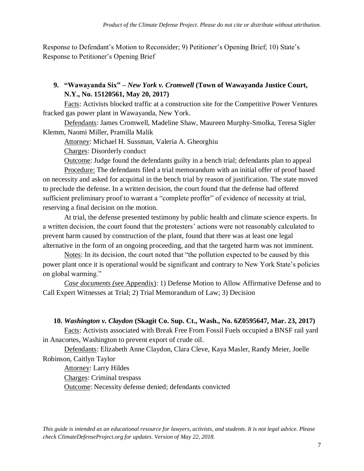Response to Defendant's Motion to Reconsider; 9) Petitioner's Opening Brief; 10) State's Response to Petitioner's Opening Brief

### **9. "Wawayanda Six" –** *New York v. Cromwell* **(Town of Wawayanda Justice Court, N.Y., No. 15120561, May 20, 2017)**

Facts: Activists blocked traffic at a construction site for the Competitive Power Ventures fracked gas power plant in Wawayanda, New York.

Defendants: James Cromwell, Madeline Shaw, Maureen Murphy-Smolka, Teresa Sigler Klemm, Naomi Miller, Pramilla Malik

Attorney: Michael H. Sussman, Valeria A. Gheorghiu

Charges: Disorderly conduct

Outcome: Judge found the defendants guilty in a bench trial; defendants plan to appeal

Procedure: The defendants filed a trial memorandum with an initial offer of proof based on necessity and asked for acquittal in the bench trial by reason of justification. The state moved to preclude the defense. In a written decision, the court found that the defense had offered sufficient preliminary proof to warrant a "complete proffer" of evidence of necessity at trial, reserving a final decision on the motion.

At trial, the defense presented testimony by public health and climate science experts. In a written decision, the court found that the protesters' actions were not reasonably calculated to prevent harm caused by construction of the plant, found that there was at least one legal alternative in the form of an ongoing proceeding, and that the targeted harm was not imminent.

Notes: In its decision, the court noted that "the pollution expected to be caused by this power plant once it is operational would be significant and contrary to New York State's policies on global warming."

*Case documents (*see Appendix): 1) Defense Motion to Allow Affirmative Defense and to Call Expert Witnesses at Trial; 2) Trial Memorandum of Law; 3) Decision

### **10.** *Washington v. Claydon* **(Skagit Co. Sup. Ct., Wash., No. 6Z0595647, Mar. 23, 2017)**

Facts: Activists associated with Break Free From Fossil Fuels occupied a BNSF rail yard in Anacortes, Washington to prevent export of crude oil.

Defendants: Elizabeth Anne Claydon, Clara Cleve, Kaya Masler, Randy Meier, Joelle Robinson, Caitlyn Taylor

Attorney: Larry Hildes Charges: Criminal trespass Outcome: Necessity defense denied; defendants convicted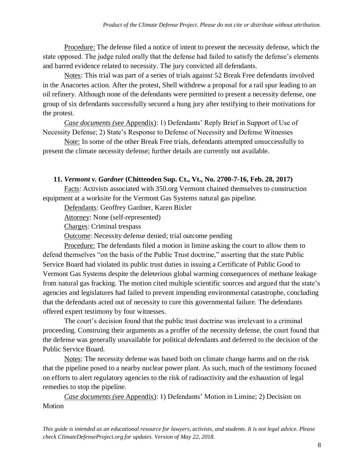Procedure: The defense filed a notice of intent to present the necessity defense, which the state opposed. The judge ruled orally that the defense had failed to satisfy the defense's elements and barred evidence related to necessity. The jury convicted all defendants.

Notes: This trial was part of a series of trials against 52 Break Free defendants involved in the Anacortes action. After the protest, Shell withdrew a proposal for a rail spur leading to an oil refinery. Although none of the defendants were permitted to present a necessity defense, one group of six defendants successfully secured a hung jury after testifying to their motivations for the protest.

*Case documents (*see Appendix): 1) Defendants' Reply Brief in Support of Use of Necessity Defense; 2) State's Response to Defense of Necessity and Defense Witnesses

Note: In some of the other Break Free trials, defendants attempted unsuccessfully to present the climate necessity defense; further details are currently not available.

#### **11.** *Vermont v. Gardner* **(Chittenden Sup. Ct., Vt., No. 2700-7-16, Feb. 28, 2017)**

Facts: Activists associated with 350.org Vermont chained themselves to construction equipment at a worksite for the Vermont Gas Systems natural gas pipeline.

Defendants: Geoffrey Gardner, Karen Bixler

Attorney: None (self-represented)

Charges: Criminal trespass

Outcome: Necessity defense denied; trial outcome pending

Procedure: The defendants filed a motion in limine asking the court to allow them to defend themselves "on the basis of the Public Trust doctrine," asserting that the state Public Service Board had violated its public trust duties in issuing a Certificate of Public Good to Vermont Gas Systems despite the deleterious global warming consequences of methane leakage from natural gas fracking. The motion cited multiple scientific sources and argued that the state's agencies and legislatures had failed to prevent impending environmental catastrophe, concluding that the defendants acted out of necessity to cure this governmental failure. The defendants offered expert testimony by four witnesses.

The court's decision found that the public trust doctrine was irrelevant to a criminal proceeding. Construing their arguments as a proffer of the necessity defense, the court found that the defense was generally unavailable for political defendants and deferred to the decision of the Public Service Board.

Notes: The necessity defense was based both on climate change harms and on the risk that the pipeline posed to a nearby nuclear power plant. As such, much of the testimony focused on efforts to alert regulatory agencies to the risk of radioactivity and the exhaustion of legal remedies to stop the pipeline.

*Case documents (*see Appendix): 1) Defendants' Motion in Limine; 2) Decision on Motion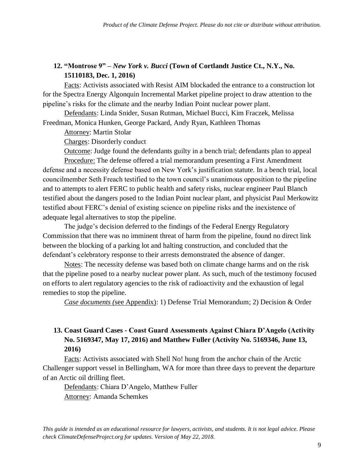### **12. "Montrose 9" –** *New York v. Bucci* **(Town of Cortlandt Justice Ct., N.Y., No. 15110183, Dec. 1, 2016)**

Facts: Activists associated with Resist AIM blockaded the entrance to a construction lot for the Spectra Energy Algonquin Incremental Market pipeline project to draw attention to the pipeline's risks for the climate and the nearby Indian Point nuclear power plant.

Defendants: Linda Snider, Susan Rutman, Michael Bucci, Kim Fraczek, Melissa Freedman, Monica Hunken, George Packard, Andy Ryan, Kathleen Thomas

Attorney: Martin Stolar

Charges: Disorderly conduct

Outcome: Judge found the defendants guilty in a bench trial; defendants plan to appeal

Procedure: The defense offered a trial memorandum presenting a First Amendment defense and a necessity defense based on New York's justification statute. In a bench trial, local councilmember Seth Freach testified to the town council's unanimous opposition to the pipeline and to attempts to alert FERC to public health and safety risks, nuclear engineer Paul Blanch testified about the dangers posed to the Indian Point nuclear plant, and physicist Paul Merkowitz testified about FERC's denial of existing science on pipeline risks and the inexistence of adequate legal alternatives to stop the pipeline.

The judge's decision deferred to the findings of the Federal Energy Regulatory Commission that there was no imminent threat of harm from the pipeline, found no direct link between the blocking of a parking lot and halting construction, and concluded that the defendant's celebratory response to their arrests demonstrated the absence of danger.

Notes: The necessity defense was based both on climate change harms and on the risk that the pipeline posed to a nearby nuclear power plant. As such, much of the testimony focused on efforts to alert regulatory agencies to the risk of radioactivity and the exhaustion of legal remedies to stop the pipeline.

*Case documents (*see Appendix): 1) Defense Trial Memorandum; 2) Decision & Order

### **13. Coast Guard Cases - Coast Guard Assessments Against Chiara D'Angelo (Activity No. 5169347, May 17, 2016) and Matthew Fuller (Activity No. 5169346, June 13, 2016)**

Facts: Activists associated with Shell No! hung from the anchor chain of the Arctic Challenger support vessel in Bellingham, WA for more than three days to prevent the departure of an Arctic oil drilling fleet.

Defendants: Chiara D'Angelo, Matthew Fuller Attorney: Amanda Schemkes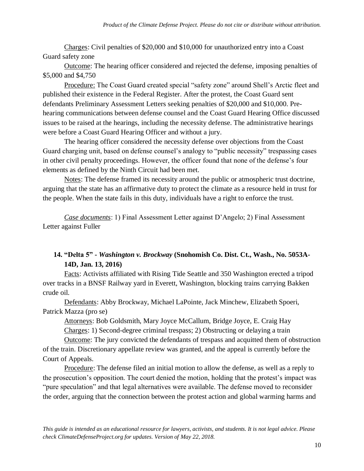Charges: Civil penalties of \$20,000 and \$10,000 for unauthorized entry into a Coast Guard safety zone

Outcome: The hearing officer considered and rejected the defense, imposing penalties of \$5,000 and \$4,750

Procedure: The Coast Guard created special "safety zone" around Shell's Arctic fleet and published their existence in the Federal Register. After the protest, the Coast Guard sent defendants Preliminary Assessment Letters seeking penalties of \$20,000 and \$10,000. Prehearing communications between defense counsel and the Coast Guard Hearing Office discussed issues to be raised at the hearings, including the necessity defense. The administrative hearings were before a Coast Guard Hearing Officer and without a jury.

The hearing officer considered the necessity defense over objections from the Coast Guard charging unit, based on defense counsel's analogy to "public necessity" trespassing cases in other civil penalty proceedings. However, the officer found that none of the defense's four elements as defined by the Ninth Circuit had been met.

Notes: The defense framed its necessity around the public or atmospheric trust doctrine, arguing that the state has an affirmative duty to protect the climate as a resource held in trust for the people. When the state fails in this duty, individuals have a right to enforce the trust.

*Case documents*: 1) Final Assessment Letter against D'Angelo; 2) Final Assessment Letter against Fuller

## **14. "Delta 5" -** *Washington v. Brockway* **(Snohomish Co. Dist. Ct., Wash., No. 5053A-14D, Jan. 13, 2016)**

Facts: Activists affiliated with Rising Tide Seattle and 350 Washington erected a tripod over tracks in a BNSF Railway yard in Everett, Washington, blocking trains carrying Bakken crude oil.

Defendants: Abby Brockway, Michael LaPointe, Jack Minchew, Elizabeth Spoeri, Patrick Mazza (pro se)

Attorneys: Bob Goldsmith, Mary Joyce McCallum, Bridge Joyce, E. Craig Hay

Charges: 1) Second-degree criminal trespass; 2) Obstructing or delaying a train

Outcome: The jury convicted the defendants of trespass and acquitted them of obstruction of the train. Discretionary appellate review was granted, and the appeal is currently before the Court of Appeals.

Procedure: The defense filed an initial motion to allow the defense, as well as a reply to the prosecution's opposition. The court denied the motion, holding that the protest's impact was "pure speculation" and that legal alternatives were available. The defense moved to reconsider the order, arguing that the connection between the protest action and global warming harms and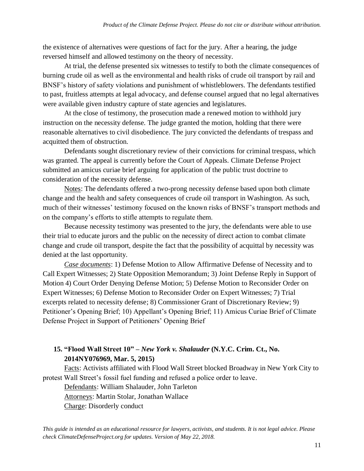the existence of alternatives were questions of fact for the jury. After a hearing, the judge reversed himself and allowed testimony on the theory of necessity.

At trial, the defense presented six witnesses to testify to both the climate consequences of burning crude oil as well as the environmental and health risks of crude oil transport by rail and BNSF's history of safety violations and punishment of whistleblowers. The defendants testified to past, fruitless attempts at legal advocacy, and defense counsel argued that no legal alternatives were available given industry capture of state agencies and legislatures.

At the close of testimony, the prosecution made a renewed motion to withhold jury instruction on the necessity defense. The judge granted the motion, holding that there were reasonable alternatives to civil disobedience. The jury convicted the defendants of trespass and acquitted them of obstruction.

Defendants sought discretionary review of their convictions for criminal trespass, which was granted. The appeal is currently before the Court of Appeals. Climate Defense Project submitted an amicus curiae brief arguing for application of the public trust doctrine to consideration of the necessity defense.

Notes: The defendants offered a two-prong necessity defense based upon both climate change and the health and safety consequences of crude oil transport in Washington. As such, much of their witnesses' testimony focused on the known risks of BNSF's transport methods and on the company's efforts to stifle attempts to regulate them.

Because necessity testimony was presented to the jury, the defendants were able to use their trial to educate jurors and the public on the necessity of direct action to combat climate change and crude oil transport, despite the fact that the possibility of acquittal by necessity was denied at the last opportunity.

*Case documents*: 1) Defense Motion to Allow Affirmative Defense of Necessity and to Call Expert Witnesses; 2) State Opposition Memorandum; 3) Joint Defense Reply in Support of Motion 4) Court Order Denying Defense Motion; 5) Defense Motion to Reconsider Order on Expert Witnesses; 6) Defense Motion to Reconsider Order on Expert Witnesses; 7) Trial excerpts related to necessity defense; 8) Commissioner Grant of Discretionary Review; 9) Petitioner's Opening Brief; 10) Appellant's Opening Brief; 11) Amicus Curiae Brief of Climate Defense Project in Support of Petitioners' Opening Brief

# **15. "Flood Wall Street 10" –** *New York v. Shalauder* **(N.Y.C. Crim. Ct., No. 2014NY076969, Mar. 5, 2015)**

Facts: Activists affiliated with Flood Wall Street blocked Broadway in New York City to protest Wall Street's fossil fuel funding and refused a police order to leave.

Defendants: William Shalauder, John Tarleton Attorneys: Martin Stolar, Jonathan Wallace Charge: Disorderly conduct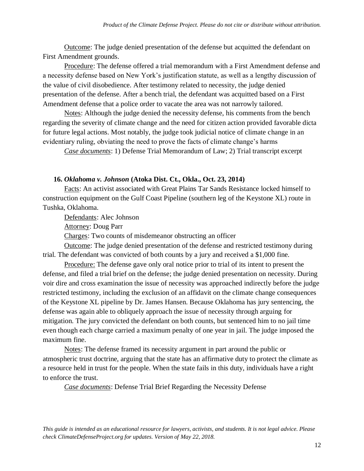Outcome: The judge denied presentation of the defense but acquitted the defendant on First Amendment grounds.

Procedure: The defense offered a trial memorandum with a First Amendment defense and a necessity defense based on New York's justification statute, as well as a lengthy discussion of the value of civil disobedience. After testimony related to necessity, the judge denied presentation of the defense. After a bench trial, the defendant was acquitted based on a First Amendment defense that a police order to vacate the area was not narrowly tailored.

Notes: Although the judge denied the necessity defense, his comments from the bench regarding the severity of climate change and the need for citizen action provided favorable dicta for future legal actions. Most notably, the judge took judicial notice of climate change in an evidentiary ruling, obviating the need to prove the facts of climate change's harms

*Case documents*: 1) Defense Trial Memorandum of Law; 2) Trial transcript excerpt

#### **16.** *Oklahoma v. Johnson* **(Atoka Dist. Ct., Okla., Oct. 23, 2014)**

Facts: An activist associated with Great Plains Tar Sands Resistance locked himself to construction equipment on the Gulf Coast Pipeline (southern leg of the Keystone XL) route in Tushka, Oklahoma.

Defendants: Alec Johnson

Attorney: Doug Parr

Charges: Two counts of misdemeanor obstructing an officer

Outcome: The judge denied presentation of the defense and restricted testimony during trial. The defendant was convicted of both counts by a jury and received a \$1,000 fine.

Procedure: The defense gave only oral notice prior to trial of its intent to present the defense, and filed a trial brief on the defense; the judge denied presentation on necessity. During voir dire and cross examination the issue of necessity was approached indirectly before the judge restricted testimony, including the exclusion of an affidavit on the climate change consequences of the Keystone XL pipeline by Dr. James Hansen. Because Oklahoma has jury sentencing, the defense was again able to obliquely approach the issue of necessity through arguing for mitigation. The jury convicted the defendant on both counts, but sentenced him to no jail time even though each charge carried a maximum penalty of one year in jail. The judge imposed the maximum fine.

Notes: The defense framed its necessity argument in part around the public or atmospheric trust doctrine, arguing that the state has an affirmative duty to protect the climate as a resource held in trust for the people. When the state fails in this duty, individuals have a right to enforce the trust.

*Case documents*: Defense Trial Brief Regarding the Necessity Defense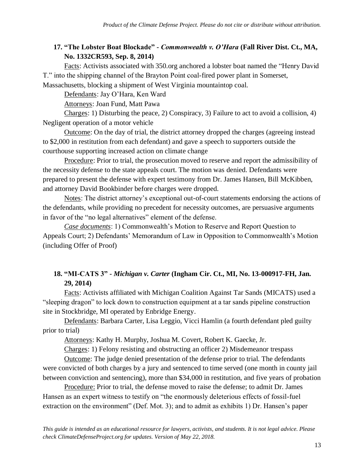### **17. "The Lobster Boat Blockade" -** *Commonwealth v. O'Hara* **(Fall River Dist. Ct., MA, No. 1332CR593, Sep. 8, 2014)**

Facts: Activists associated with 350.org anchored a lobster boat named the "Henry David T." into the shipping channel of the Brayton Point coal-fired power plant in Somerset, Massachusetts, blocking a shipment of West Virginia mountaintop coal.

Defendants: Jay O'Hara, Ken Ward

Attorneys: Joan Fund, Matt Pawa

Charges: 1) Disturbing the peace, 2) Conspiracy, 3) Failure to act to avoid a collision, 4) Negligent operation of a motor vehicle

Outcome: On the day of trial, the district attorney dropped the charges (agreeing instead to \$2,000 in restitution from each defendant) and gave a speech to supporters outside the courthouse supporting increased action on climate change

Procedure: Prior to trial, the prosecution moved to reserve and report the admissibility of the necessity defense to the state appeals court. The motion was denied. Defendants were prepared to present the defense with expert testimony from Dr. James Hansen, Bill McKibben, and attorney David Bookbinder before charges were dropped.

Notes: The district attorney's exceptional out-of-court statements endorsing the actions of the defendants, while providing no precedent for necessity outcomes, are persuasive arguments in favor of the "no legal alternatives" element of the defense.

*Case documents*: 1) Commonwealth's Motion to Reserve and Report Question to Appeals Court; 2) Defendants' Memorandum of Law in Opposition to Commonwealth's Motion (including Offer of Proof)

### **18. "MI-CATS 3" -** *Michigan v. Carter* **(Ingham Cir. Ct., MI, No. 13-000917-FH, Jan. 29, 2014)**

Facts: Activists affiliated with Michigan Coalition Against Tar Sands (MICATS) used a "sleeping dragon" to lock down to construction equipment at a tar sands pipeline construction site in Stockbridge, MI operated by Enbridge Energy.

Defendants: Barbara Carter, Lisa Leggio, Vicci Hamlin (a fourth defendant pled guilty prior to trial)

Attorneys: Kathy H. Murphy, Joshua M. Covert, Robert K. Gaecke, Jr.

Charges: 1) Felony resisting and obstructing an officer 2) Misdemeanor trespass

Outcome: The judge denied presentation of the defense prior to trial. The defendants were convicted of both charges by a jury and sentenced to time served (one month in county jail between conviction and sentencing), more than \$34,000 in restitution, and five years of probation

Procedure: Prior to trial, the defense moved to raise the defense; to admit Dr. James Hansen as an expert witness to testify on "the enormously deleterious effects of fossil-fuel extraction on the environment" (Def. Mot. 3); and to admit as exhibits 1) Dr. Hansen's paper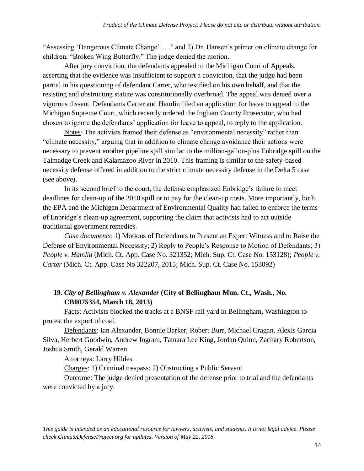"Assessing 'Dangerous Climate Change' . . ." and 2) Dr. Hansen's primer on climate change for children, "Broken Wing Butterfly." The judge denied the motion.

After jury conviction, the defendants appealed to the Michigan Court of Appeals, asserting that the evidence was insufficient to support a conviction, that the judge had been partial in his questioning of defendant Carter, who testified on his own behalf, and that the resisting and obstructing statute was constitutionally overbroad. The appeal was denied over a vigorous dissent. Defendants Carter and Hamlin filed an application for leave to appeal to the Michigan Supreme Court, which recently ordered the Ingham County Prosecutor, who had chosen to ignore the defendants' application for leave to appeal, to reply to the application.

Notes: The activists framed their defense as "environmental necessity" rather than "climate necessity," arguing that in addition to climate change avoidance their actions were necessary to prevent another pipeline spill similar to the million-gallon-plus Enbridge spill on the Talmadge Creek and Kalamazoo River in 2010. This framing is similar to the safety-based necessity defense offered in addition to the strict climate necessity defense in the Delta 5 case (see above).

In its second brief to the court, the defense emphasized Enbridge's failure to meet deadlines for clean-up of the 2010 spill or to pay for the clean-up costs. More importantly, both the EPA and the Michigan Department of Environmental Quality had failed to enforce the terms of Enbridge's clean-up agreement, supporting the claim that activists had to act outside traditional government remedies.

*Case documents*: 1) Motions of Defendants to Present an Expert Witness and to Raise the Defense of Environmental Necessity; 2) Reply to People's Response to Motion of Defendants; 3) *People v. Hamlin* (Mich. Ct. App. Case No. 321352; Mich. Sup. Ct. Case No. 153128); *People v. Carter* (Mich. Ct. App. Case No 322207, 2015; Mich. Sup. Ct. Case No. 153092)

### **19.** *City of Bellingham v. Alexander* **(City of Bellingham Mun. Ct., Wash., No. CB0075354, March 18, 2013)**

Facts: Activists blocked the tracks at a BNSF rail yard in Bellingham, Washington to protest the export of coal.

Defendants: Ian Alexander, Bonnie Barker, Robert Burr, Michael Cragan, Alexis Garcia Silva, Herbert Goodwin, Andrew Ingram, Tamara Lee King, Jordan Quinn, Zachary Robertson, Joshua Smith, Gerald Warren

Attorneys: Larry Hildes

Charges: 1) Criminal trespass; 2) Obstructing a Public Servant

Outcome: The judge denied presentation of the defense prior to trial and the defendants were convicted by a jury.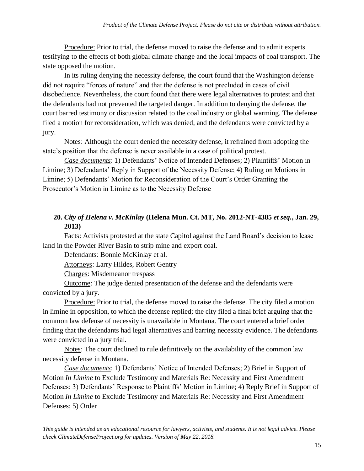Procedure: Prior to trial, the defense moved to raise the defense and to admit experts testifying to the effects of both global climate change and the local impacts of coal transport. The state opposed the motion.

In its ruling denying the necessity defense, the court found that the Washington defense did not require "forces of nature" and that the defense is not precluded in cases of civil disobedience. Nevertheless, the court found that there were legal alternatives to protest and that the defendants had not prevented the targeted danger. In addition to denying the defense, the court barred testimony or discussion related to the coal industry or global warming. The defense filed a motion for reconsideration, which was denied, and the defendants were convicted by a jury.

Notes: Although the court denied the necessity defense, it refrained from adopting the state's position that the defense is never available in a case of political protest.

*Case documents*: 1) Defendants' Notice of Intended Defenses; 2) Plaintiffs' Motion in Limine; 3) Defendants' Reply in Support of the Necessity Defense; 4) Ruling on Motions in Limine; 5) Defendants' Motion for Reconsideration of the Court's Order Granting the Prosecutor's Motion in Limine as to the Necessity Defense

### **20.** *City of Helena v. McKinlay* **(Helena Mun. Ct. MT, No. 2012-NT-4385** *et seq.***, Jan. 29, 2013)**

Facts: Activists protested at the state Capitol against the Land Board's decision to lease land in the Powder River Basin to strip mine and export coal.

Defendants: Bonnie McKinlay et al.

Attorneys: Larry Hildes, Robert Gentry

Charges: Misdemeanor trespass

Outcome: The judge denied presentation of the defense and the defendants were convicted by a jury.

Procedure: Prior to trial, the defense moved to raise the defense. The city filed a motion in limine in opposition, to which the defense replied; the city filed a final brief arguing that the common law defense of necessity is unavailable in Montana. The court entered a brief order finding that the defendants had legal alternatives and barring necessity evidence. The defendants were convicted in a jury trial.

Notes: The court declined to rule definitively on the availability of the common law necessity defense in Montana.

*Case documents*: 1) Defendants' Notice of Intended Defenses; 2) Brief in Support of Motion *In Limine* to Exclude Testimony and Materials Re: Necessity and First Amendment Defenses; 3) Defendants' Response to Plaintiffs' Motion in Limine; 4) Reply Brief in Support of Motion *In Limine* to Exclude Testimony and Materials Re: Necessity and First Amendment Defenses; 5) Order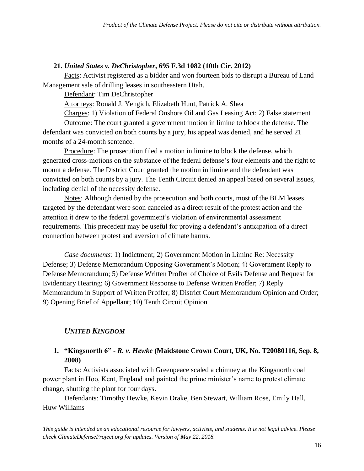#### **21.** *United States v. DeChristopher***, 695 F.3d 1082 (10th Cir. 2012)**

Facts: Activist registered as a bidder and won fourteen bids to disrupt a Bureau of Land Management sale of drilling leases in southeastern Utah.

Defendant: Tim DeChristopher

Attorneys: Ronald J. Yengich, Elizabeth Hunt, Patrick A. Shea

Charges: 1) Violation of Federal Onshore Oil and Gas Leasing Act; 2) False statement Outcome: The court granted a government motion in limine to block the defense. The defendant was convicted on both counts by a jury, his appeal was denied, and he served 21 months of a 24-month sentence.

Procedure: The prosecution filed a motion in limine to block the defense, which generated cross-motions on the substance of the federal defense's four elements and the right to mount a defense. The District Court granted the motion in limine and the defendant was convicted on both counts by a jury. The Tenth Circuit denied an appeal based on several issues, including denial of the necessity defense.

Notes: Although denied by the prosecution and both courts, most of the BLM leases targeted by the defendant were soon canceled as a direct result of the protest action and the attention it drew to the federal government's violation of environmental assessment requirements. This precedent may be useful for proving a defendant's anticipation of a direct connection between protest and aversion of climate harms.

*Case documents*: 1) Indictment; 2) Government Motion in Limine Re: Necessity Defense; 3) Defense Memorandum Opposing Government's Motion; 4) Government Reply to Defense Memorandum; 5) Defense Written Proffer of Choice of Evils Defense and Request for Evidentiary Hearing; 6) Government Response to Defense Written Proffer; 7) Reply Memorandum in Support of Written Proffer; 8) District Court Memorandum Opinion and Order; 9) Opening Brief of Appellant; 10) Tenth Circuit Opinion

### *UNITED KINGDOM*

#### **1. "Kingsnorth 6" -** *R. v. Hewke* **(Maidstone Crown Court, UK, No. T20080116, Sep. 8, 2008)**

Facts: Activists associated with Greenpeace scaled a chimney at the Kingsnorth coal power plant in Hoo, Kent, England and painted the prime minister's name to protest climate change, shutting the plant for four days.

Defendants: Timothy Hewke, Kevin Drake, Ben Stewart, William Rose, Emily Hall, Huw Williams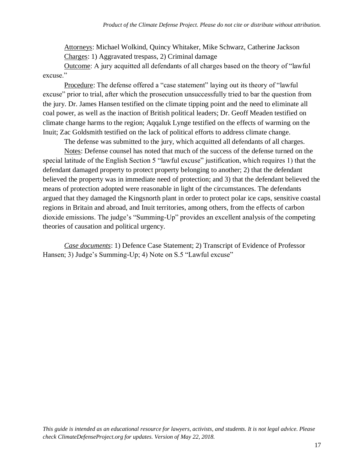Attorneys: Michael Wolkind, Quincy Whitaker, Mike Schwarz, Catherine Jackson Charges: 1) Aggravated trespass, 2) Criminal damage

Outcome: A jury acquitted all defendants of all charges based on the theory of "lawful excuse."

Procedure: The defense offered a "case statement" laying out its theory of "lawful excuse" prior to trial, after which the prosecution unsuccessfully tried to bar the question from the jury. Dr. James Hansen testified on the climate tipping point and the need to eliminate all coal power, as well as the inaction of British political leaders; Dr. Geoff Meaden testified on climate change harms to the region; Aqqaluk Lynge testified on the effects of warming on the Inuit; Zac Goldsmith testified on the lack of political efforts to address climate change.

The defense was submitted to the jury, which acquitted all defendants of all charges.

Notes: Defense counsel has noted that much of the success of the defense turned on the special latitude of the English Section 5 "lawful excuse" justification, which requires 1) that the defendant damaged property to protect property belonging to another; 2) that the defendant believed the property was in immediate need of protection; and 3) that the defendant believed the means of protection adopted were reasonable in light of the circumstances. The defendants argued that they damaged the Kingsnorth plant in order to protect polar ice caps, sensitive coastal regions in Britain and abroad, and Inuit territories, among others, from the effects of carbon dioxide emissions. The judge's "Summing-Up" provides an excellent analysis of the competing theories of causation and political urgency.

*Case documents*: 1) Defence Case Statement; 2) Transcript of Evidence of Professor Hansen; 3) Judge's Summing-Up; 4) Note on S.5 "Lawful excuse"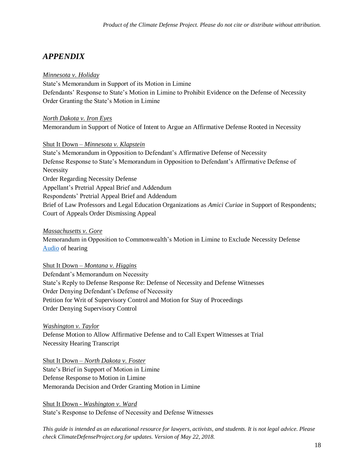# *APPENDIX*

#### *Minnesota v. Holiday*

State's Memorandum in Support of its Motion in Limine Defendants' Response to State's Motion in Limine to Prohibit Evidence on the Defense of Necessity Order Granting the State's Motion in Limine

#### *North Dakota v. Iron Eyes*

Memorandum in Support of Notice of Intent to Argue an Affirmative Defense Rooted in Necessity

#### Shut It Down – *Minnesota v. Klapstein*

State's Memorandum in Opposition to Defendant's Affirmative Defense of Necessity Defense Response to State's Memorandum in Opposition to Defendant's Affirmative Defense of Necessity Order Regarding Necessity Defense Appellant's Pretrial Appeal Brief and Addendum Respondents' Pretrial Appeal Brief and Addendum Brief of Law Professors and Legal Education Organizations as *Amici Curiae* in Support of Respondents; Court of Appeals Order Dismissing Appeal

#### *Massachusetts v. Gore*

Memorandum in Opposition to Commonwealth's Motion in Limine to Exclude Necessity Defense [Audio](http://www.climatedisobedience.org/west_roxbury) of hearing

#### Shut It Down – *Montana v. Higgins*

Defendant's Memorandum on Necessity State's Reply to Defense Response Re: Defense of Necessity and Defense Witnesses Order Denying Defendant's Defense of Necessity Petition for Writ of Supervisory Control and Motion for Stay of Proceedings Order Denying Supervisory Control

#### *Washington v. Taylor*

Defense Motion to Allow Affirmative Defense and to Call Expert Witnesses at Trial Necessity Hearing Transcript

#### Shut It Down – *North Dakota v. Foster*

State's Brief in Support of Motion in Limine Defense Response to Motion in Limine Memoranda Decision and Order Granting Motion in Limine

Shut It Down - *Washington v. Ward* State's Response to Defense of Necessity and Defense Witnesses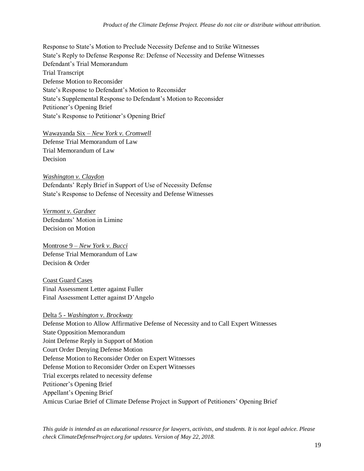Response to State's Motion to Preclude Necessity Defense and to Strike Witnesses State's Reply to Defense Response Re: Defense of Necessity and Defense Witnesses Defendant's Trial Memorandum Trial Transcript Defense Motion to Reconsider State's Response to Defendant's Motion to Reconsider State's Supplemental Response to Defendant's Motion to Reconsider Petitioner's Opening Brief State's Response to Petitioner's Opening Brief

Wawayanda Six – *New York v. Cromwell* Defense Trial Memorandum of Law

Trial Memorandum of Law Decision

*Washington v. Claydon* Defendants' Reply Brief in Support of Use of Necessity Defense State's Response to Defense of Necessity and Defense Witnesses

*Vermont v. Gardner* Defendants' Motion in Limine Decision on Motion

Montrose 9 – *New York v. Bucci* Defense Trial Memorandum of Law Decision & Order

Coast Guard Cases Final Assessment Letter against Fuller Final Assessment Letter against D'Angelo

Delta 5 - *Washington v. Brockway* Defense Motion to Allow Affirmative Defense of Necessity and to Call Expert Witnesses State Opposition Memorandum Joint Defense Reply in Support of Motion Court Order Denying Defense Motion Defense Motion to Reconsider Order on Expert Witnesses Defense Motion to Reconsider Order on Expert Witnesses Trial excerpts related to necessity defense Petitioner's Opening Brief Appellant's Opening Brief Amicus Curiae Brief of Climate Defense Project in Support of Petitioners' Opening Brief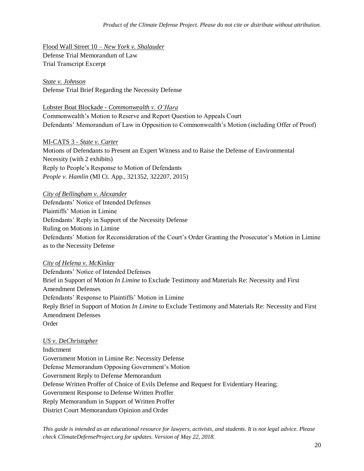Flood Wall Street 10 – *New York v. Shalauder* Defense Trial Memorandum of Law Trial Transcript Excerpt

#### *State v. Johnson*

Defense Trial Brief Regarding the Necessity Defense

Lobster Boat Blockade - *Commonwealth v. O'Hara*

Commonwealth's Motion to Reserve and Report Question to Appeals Court Defendants' Memorandum of Law in Opposition to Commonwealth's Motion (including Offer of Proof)

MI-CATS 3 - *State v. Carter*

Motions of Defendants to Present an Expert Witness and to Raise the Defense of Environmental Necessity (with 2 exhibits) Reply to People's Response to Motion of Defendants *People v. Hamlin* (MI Ct. App., 321352, 322207, 2015)

#### *City of Bellingham v. Alexander*

Defendants' Notice of Intended Defenses Plaintiffs' Motion in Limine Defendants' Reply in Support of the Necessity Defense Ruling on Motions in Limine Defendants' Motion for Reconsideration of the Court's Order Granting the Prosecutor's Motion in Limine as to the Necessity Defense

#### *City of Helena v. McKinlay*

Defendants' Notice of Intended Defenses Brief in Support of Motion *In Limine* to Exclude Testimony and Materials Re: Necessity and First Amendment Defenses Defendants' Response to Plaintiffs' Motion in Limine Reply Brief in Support of Motion *In Limine* to Exclude Testimony and Materials Re: Necessity and First Amendment Defenses Order

#### *US v. DeChristopher*

Indictment Government Motion in Limine Re: Necessity Defense Defense Memorandum Opposing Government's Motion Government Reply to Defense Memorandum Defense Written Proffer of Choice of Evils Defense and Request for Evidentiary Hearing; Government Response to Defense Written Proffer Reply Memorandum in Support of Written Proffer District Court Memorandum Opinion and Order